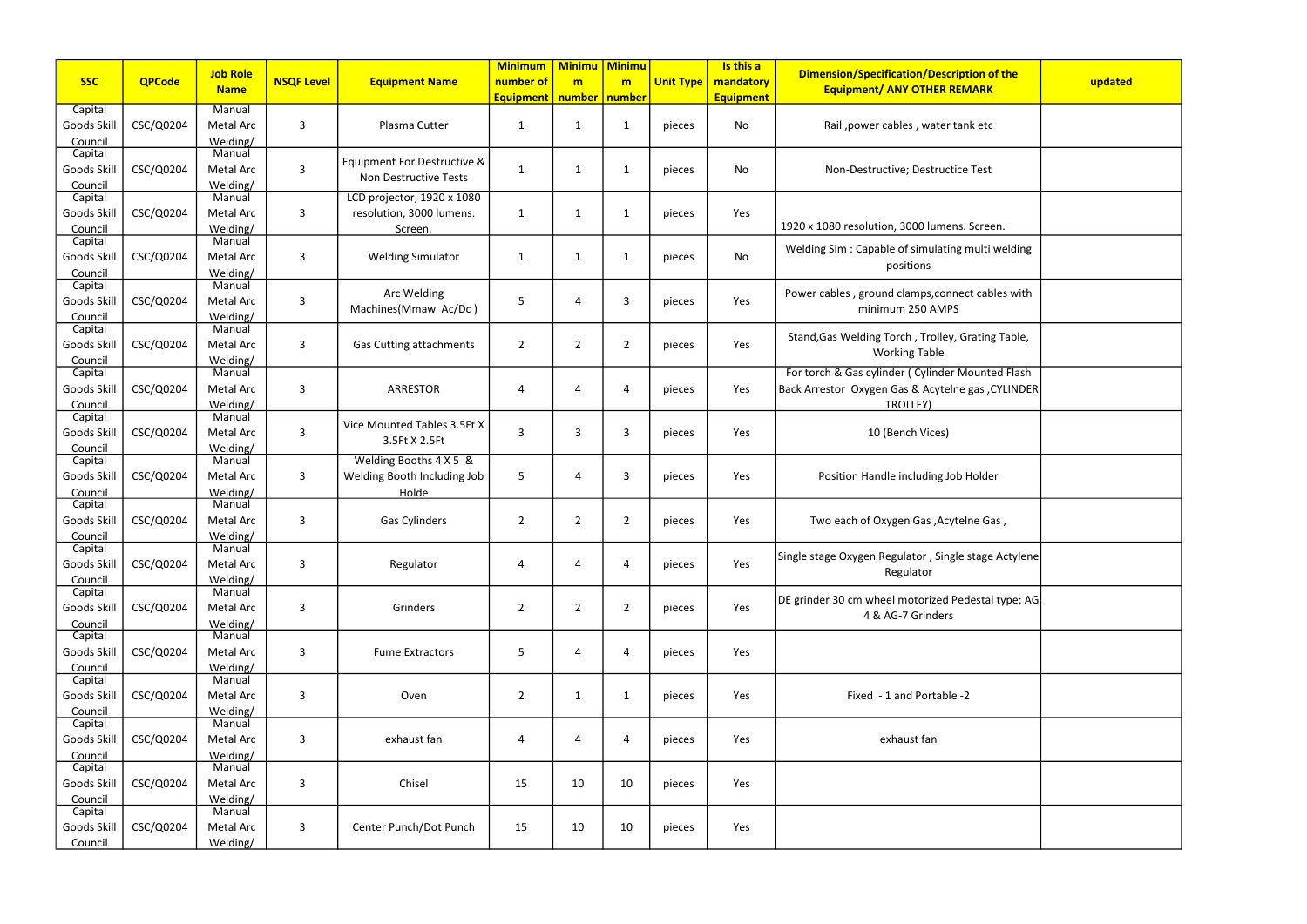| <b>SSC</b>             | <b>QPCode</b> | <b>Job Role</b>       | <b>NSQF Level</b> | <b>Equipment Name</b>          | <b>Minimum</b><br>number of | <b>Minimu Minimu</b><br>m | m              | <b>Unit Type</b> | Is this a<br>mandatory | <b>Dimension/Specification/Description of the</b>    | updated |
|------------------------|---------------|-----------------------|-------------------|--------------------------------|-----------------------------|---------------------------|----------------|------------------|------------------------|------------------------------------------------------|---------|
|                        |               | <b>Name</b>           |                   |                                | <b>Equipment</b>            | number   number           |                |                  | <b>Equipment</b>       | <b>Equipment/ ANY OTHER REMARK</b>                   |         |
| Capital                |               | Manual                |                   |                                |                             |                           |                |                  |                        |                                                      |         |
| Goods Skill            | CSC/Q0204     | Metal Arc             | 3                 | Plasma Cutter                  | 1                           | $\mathbf{1}$              | $\mathbf{1}$   | pieces           | No                     | Rail, power cables, water tank etc                   |         |
| Council<br>Capital     |               | Welding/<br>Manual    |                   |                                |                             |                           |                |                  |                        |                                                      |         |
| Goods Skill            | CSC/Q0204     | Metal Arc             | $\overline{3}$    | Equipment For Destructive &    | $\mathbf 1$                 | $\mathbf{1}$              | -1             | pieces           | No                     | Non-Destructive; Destructice Test                    |         |
| Council                |               | Welding/              |                   | Non Destructive Tests          |                             |                           |                |                  |                        |                                                      |         |
| Capital                |               | Manual                |                   | LCD projector, 1920 x 1080     |                             |                           |                |                  |                        |                                                      |         |
| Goods Skill            | CSC/Q0204     | Metal Arc             | $\overline{3}$    | resolution, 3000 lumens.       | $\mathbf{1}$                | $\mathbf{1}$              | 1              | pieces           | Yes                    |                                                      |         |
| Council                |               | Welding/              |                   | Screen.                        |                             |                           |                |                  |                        | 1920 x 1080 resolution, 3000 lumens. Screen.         |         |
| Capital                |               | Manual                |                   |                                |                             |                           |                |                  |                        | Welding Sim: Capable of simulating multi welding     |         |
| Goods Skill            | CSC/Q0204     | Metal Arc             | 3                 | <b>Welding Simulator</b>       | 1                           | $\mathbf{1}$              | 1              | pieces           | No                     | positions                                            |         |
| Council<br>Capital     |               | Welding/<br>Manual    |                   |                                |                             |                           |                |                  |                        |                                                      |         |
| Goods Skill            | CSC/Q0204     | Metal Arc             | $\overline{3}$    | Arc Welding                    | 5                           | 4                         | 3              | pieces           | Yes                    | Power cables, ground clamps, connect cables with     |         |
| Council                |               | Welding/              |                   | Machines(Mmaw Ac/Dc)           |                             |                           |                |                  |                        | minimum 250 AMPS                                     |         |
| Capital                |               | Manual                |                   |                                |                             |                           |                |                  |                        | Stand, Gas Welding Torch, Trolley, Grating Table,    |         |
| Goods Skill            | CSC/Q0204     | Metal Arc             | $\overline{3}$    | <b>Gas Cutting attachments</b> | $\overline{2}$              | $\overline{2}$            | 2              | pieces           | Yes                    | <b>Working Table</b>                                 |         |
| Council                |               | Welding/              |                   |                                |                             |                           |                |                  |                        |                                                      |         |
| Capital                |               | Manual                |                   |                                |                             |                           |                |                  |                        | For torch & Gas cylinder (Cylinder Mounted Flash     |         |
| Goods Skill            | CSC/Q0204     | Metal Arc             | 3                 | ARRESTOR                       | 4                           | 4                         | Δ              | pieces           | Yes                    | Back Arrestor Oxygen Gas & Acytelne gas, CYLINDER    |         |
| Council<br>Capital     |               | Welding/<br>Manual    |                   |                                |                             |                           |                |                  |                        | TROLLEY)                                             |         |
| Goods Skill            | CSC/Q0204     | Metal Arc             | $\overline{3}$    | Vice Mounted Tables 3.5Ft X    | 3                           | 3                         | 3              | pieces           | Yes                    | 10 (Bench Vices)                                     |         |
| Council                |               | Welding/              |                   | 3.5Ft X 2.5Ft                  |                             |                           |                |                  |                        |                                                      |         |
| Capital                |               | Manual                |                   | Welding Booths 4 X 5 &         |                             |                           |                |                  |                        |                                                      |         |
| Goods Skill            | CSC/Q0204     | Metal Arc             | 3                 | Welding Booth Including Job    | 5                           | 4                         | 3              | pieces           | Yes                    | Position Handle including Job Holder                 |         |
| Council                |               | Welding/              |                   | Holde                          |                             |                           |                |                  |                        |                                                      |         |
| Capital                |               | Manual                |                   |                                |                             |                           |                |                  |                        |                                                      |         |
| Goods Skil             | CSC/Q0204     | Metal Arc             | $\overline{3}$    | Gas Cylinders                  | $\overline{2}$              | $\overline{2}$            | $\overline{2}$ | pieces           | Yes                    | Two each of Oxygen Gas, Acytelne Gas,                |         |
| Council<br>Capital     |               | Welding/<br>Manual    |                   |                                |                             |                           |                |                  |                        |                                                      |         |
| Goods Skill            | CSC/Q0204     | Metal Arc             | 3                 | Regulator                      | 4                           | 4                         | 4              | pieces           | Yes                    | Single stage Oxygen Regulator, Single stage Actylene |         |
| Council                |               | Welding/              |                   |                                |                             |                           |                |                  |                        | Regulator                                            |         |
| Capital                |               | Manual                |                   |                                |                             |                           |                |                  |                        | DE grinder 30 cm wheel motorized Pedestal type; AG   |         |
| Goods Skill            | CSC/Q0204     | Metal Arc             | $\overline{3}$    | Grinders                       | $\overline{2}$              | $\overline{2}$            | 2              | pieces           | Yes                    | 4 & AG-7 Grinders                                    |         |
| Council                |               | Welding/              |                   |                                |                             |                           |                |                  |                        |                                                      |         |
| Capital                |               | Manual                |                   |                                |                             |                           |                |                  |                        |                                                      |         |
| Goods Skill<br>Council | CSC/Q0204     | Metal Arc<br>Welding/ | 3                 | <b>Fume Extractors</b>         | 5                           | 4                         | 4              | pieces           | Yes                    |                                                      |         |
| Capital                |               | Manual                |                   |                                |                             |                           |                |                  |                        |                                                      |         |
| Goods Skill            | CSC/Q0204     | Metal Arc             | 3                 | Oven                           | $\overline{2}$              | $\mathbf{1}$              | $\mathbf 1$    | pieces           | Yes                    | Fixed - 1 and Portable -2                            |         |
| Council                |               | Welding/              |                   |                                |                             |                           |                |                  |                        |                                                      |         |
| Capital                |               | Manual                |                   |                                |                             |                           |                |                  |                        |                                                      |         |
| Goods Skill            | CSC/Q0204     | Metal Arc             | $\overline{3}$    | exhaust fan                    | 4                           | 4                         | 4              | pieces           | Yes                    | exhaust fan                                          |         |
| Council                |               | Welding/              |                   |                                |                             |                           |                |                  |                        |                                                      |         |
| Capital<br>Goods Skill | CSC/Q0204     | Manual<br>Metal Arc   | 3                 | Chisel                         | 15                          | 10                        | 10             |                  | Yes                    |                                                      |         |
| Council                |               | Welding/              |                   |                                |                             |                           |                | pieces           |                        |                                                      |         |
| Capital                |               | Manual                |                   |                                |                             |                           |                |                  |                        |                                                      |         |
| Goods Skill            | CSC/Q0204     | Metal Arc             | 3                 | Center Punch/Dot Punch         | 15                          | 10                        | 10             | pieces           | Yes                    |                                                      |         |
| Council                |               | Welding/              |                   |                                |                             |                           |                |                  |                        |                                                      |         |

| of the<br>K            | updated |
|------------------------|---------|
| c                      |         |
| t                      |         |
| en.                    |         |
| i welding              |         |
| bles with              |         |
| ng Table,              |         |
| ted Flash<br>CYLINDER, |         |
|                        |         |
| er                     |         |
| ias ,                  |         |
| e Actylene             |         |
| al type; AG            |         |
|                        |         |
|                        |         |
|                        |         |
|                        |         |
|                        |         |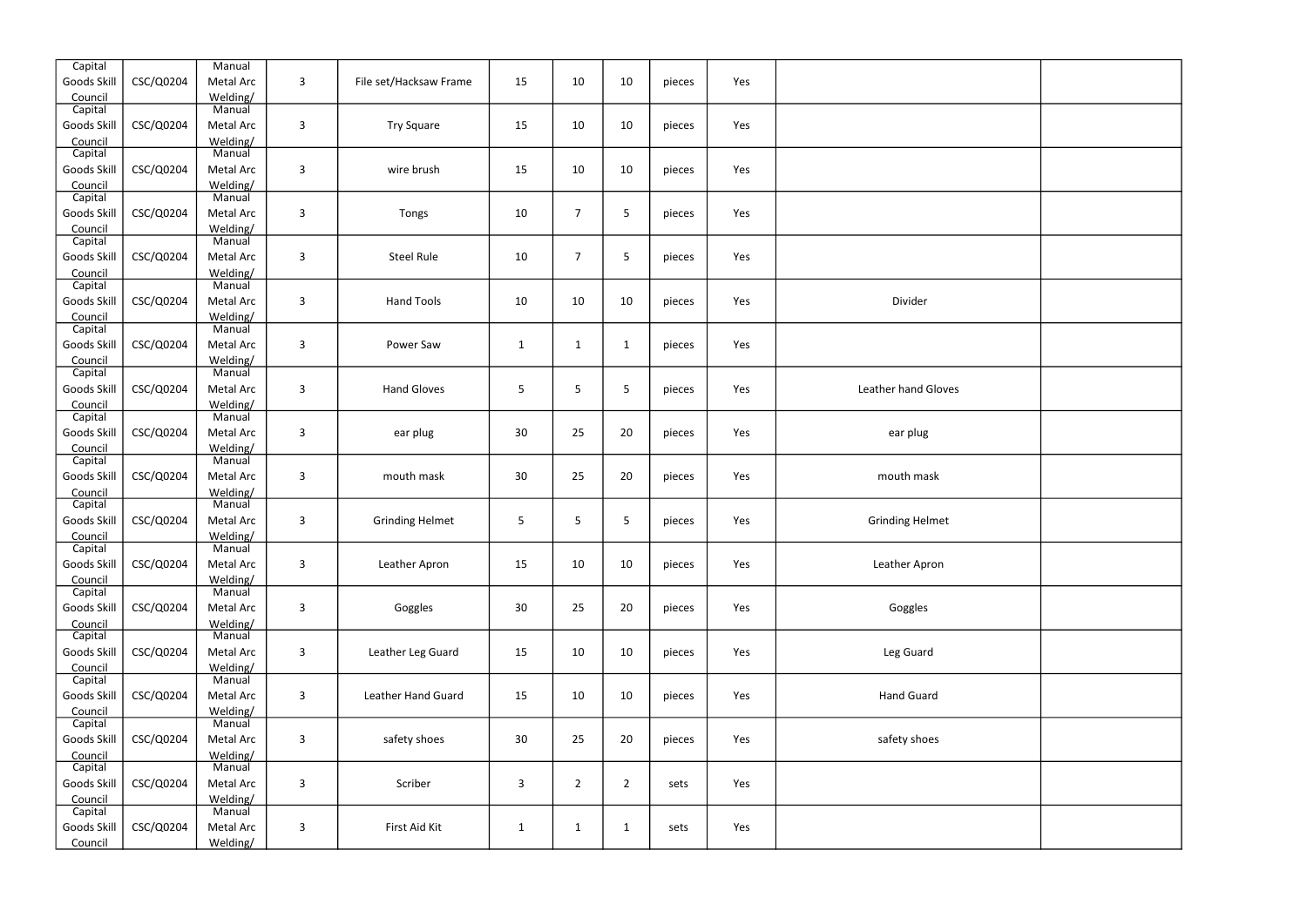| Capital            |           | Manual             |                |                        |              |                |                |        |     |                        |  |
|--------------------|-----------|--------------------|----------------|------------------------|--------------|----------------|----------------|--------|-----|------------------------|--|
| Goods Skill        | CSC/Q0204 | Metal Arc          | 3              | File set/Hacksaw Frame | 15           | 10             | 10             | pieces | Yes |                        |  |
| Council            |           | Welding/           |                |                        |              |                |                |        |     |                        |  |
| Capital            |           | Manual             |                |                        |              |                |                |        |     |                        |  |
| Goods Skill        | CSC/Q0204 | Metal Arc          | $\mathbf{3}$   | <b>Try Square</b>      | 15           | 10             | 10             | pieces | Yes |                        |  |
| Council            |           | Welding/           |                |                        |              |                |                |        |     |                        |  |
| Capital            |           | Manual             |                |                        |              |                |                |        |     |                        |  |
| Goods Skill        | CSC/Q0204 | Metal Arc          | $\mathbf{3}$   | wire brush             | 15           | 10             | 10             | pieces | Yes |                        |  |
| Council            |           | Welding/           |                |                        |              |                |                |        |     |                        |  |
| Capital            |           | Manual             |                |                        |              |                |                |        |     |                        |  |
| Goods Skill        | CSC/Q0204 | Metal Arc          | $\mathbf{3}$   | Tongs                  | 10           | $\overline{7}$ | 5              | pieces | Yes |                        |  |
| Council            |           | Welding/           |                |                        |              |                |                |        |     |                        |  |
| Capital            |           | Manual             |                |                        |              |                |                |        |     |                        |  |
| Goods Skill        | CSC/Q0204 | Metal Arc          | $\mathbf{3}$   | <b>Steel Rule</b>      | 10           | $\overline{7}$ | 5              | pieces | Yes |                        |  |
| Council            |           | Welding/           |                |                        |              |                |                |        |     |                        |  |
| Capital            |           | Manual             |                |                        |              |                |                |        |     |                        |  |
| Goods Skill        | CSC/Q0204 | Metal Arc          | $\mathbf{3}$   | <b>Hand Tools</b>      | 10           | 10             | 10             | pieces | Yes | Divider                |  |
| Council            |           | Welding/           |                |                        |              |                |                |        |     |                        |  |
| Capital            |           | Manual             |                |                        |              |                |                |        |     |                        |  |
| Goods Skill        | CSC/Q0204 | Metal Arc          | $\mathbf{3}$   | Power Saw              | 1            | $\mathbf 1$    | $\mathbf{1}$   | pieces | Yes |                        |  |
| Council<br>Capital |           | Welding/<br>Manual |                |                        |              |                |                |        |     |                        |  |
| Goods Skill        | CSC/Q0204 | Metal Arc          | $\overline{3}$ | <b>Hand Gloves</b>     | 5            | 5              | 5              |        | Yes | Leather hand Gloves    |  |
|                    |           |                    |                |                        |              |                |                | pieces |     |                        |  |
| Council<br>Capital |           | Welding/<br>Manual |                |                        |              |                |                |        |     |                        |  |
| Goods Skill        | CSC/Q0204 | Metal Arc          | $\mathbf{3}$   | ear plug               | 30           | 25             | 20             | pieces | Yes | ear plug               |  |
| Council            |           | Welding/           |                |                        |              |                |                |        |     |                        |  |
| Capital            |           | Manual             |                |                        |              |                |                |        |     |                        |  |
| Goods Skill        | CSC/Q0204 | Metal Arc          | $\mathbf{3}$   | mouth mask             | 30           | 25             | 20             | pieces | Yes | mouth mask             |  |
| Council            |           | Welding/           |                |                        |              |                |                |        |     |                        |  |
| Capital            |           | Manual             |                |                        |              |                |                |        |     |                        |  |
| Goods Skill        | CSC/Q0204 | Metal Arc          | $\mathbf{3}$   | <b>Grinding Helmet</b> | 5            | 5              | 5              | pieces | Yes | <b>Grinding Helmet</b> |  |
| Council            |           | Welding/           |                |                        |              |                |                |        |     |                        |  |
| Capital            |           | Manual             |                |                        |              |                |                |        |     |                        |  |
| Goods Skill        | CSC/Q0204 | Metal Arc          | $\mathbf{3}$   | Leather Apron          | 15           | 10             | 10             | pieces | Yes | Leather Apron          |  |
| Council            |           | Welding/           |                |                        |              |                |                |        |     |                        |  |
| Capital            |           | Manual             |                |                        |              |                |                |        |     |                        |  |
| Goods Skill        | CSC/Q0204 | Metal Arc          | $\mathbf{3}$   | Goggles                | 30           | 25             | 20             | pieces | Yes | Goggles                |  |
| Council            |           | Welding/           |                |                        |              |                |                |        |     |                        |  |
| Capital            |           | Manual             |                |                        |              |                |                |        |     |                        |  |
| Goods Skill        | CSC/Q0204 | Metal Arc          | 3              | Leather Leg Guard      | 15           | 10             | 10             | pieces | Yes | Leg Guard              |  |
| Council            |           | Welding/           |                |                        |              |                |                |        |     |                        |  |
| Capital            |           | Manual             |                |                        |              |                |                |        |     |                        |  |
| Goods Skill        | CSC/Q0204 | Metal Arc          | $\mathbf{3}$   | Leather Hand Guard     | 15           | 10             | 10             | pieces | Yes | <b>Hand Guard</b>      |  |
| Council            |           | Welding/           |                |                        |              |                |                |        |     |                        |  |
| Capital            |           | Manual             |                |                        |              |                |                |        |     |                        |  |
| Goods Skill        | CSC/Q0204 | Metal Arc          | $\mathbf{3}$   | safety shoes           | 30           | 25             | 20             | pieces | Yes | safety shoes           |  |
| Council            |           | Welding/           |                |                        |              |                |                |        |     |                        |  |
| Capital            |           | Manual             |                |                        |              |                |                |        |     |                        |  |
| Goods Skill        | CSC/Q0204 | Metal Arc          | $\mathbf{3}$   | Scriber                | 3            | $\overline{2}$ | $\overline{2}$ | sets   | Yes |                        |  |
| Council            |           | Welding/           |                |                        |              |                |                |        |     |                        |  |
| Capital            |           | Manual             |                |                        |              |                |                |        |     |                        |  |
| Goods Skill        | CSC/Q0204 | Metal Arc          | $\mathbf{3}$   | First Aid Kit          | $\mathbf{1}$ | $\mathbf{1}$   | $\mathbf{1}$   | sets   | Yes |                        |  |
| Council            |           | Welding/           |                |                        |              |                |                |        |     |                        |  |